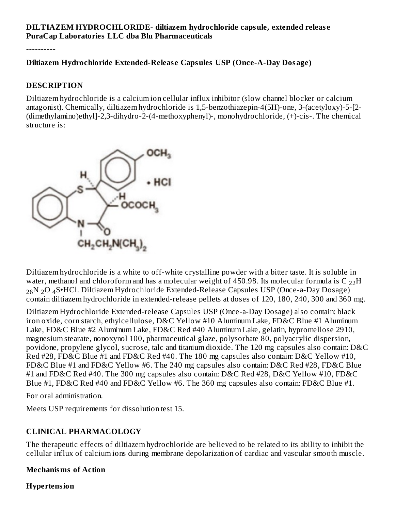#### **DILTIAZEM HYDROCHLORIDE- diltiazem hydrochloride capsule, extended releas e PuraCap Laboratories LLC dba Blu Pharmaceuticals**

----------

#### **Diltiazem Hydrochloride Extended-Releas e Capsules USP (Once-A-Day Dosage)**

#### **DESCRIPTION**

Diltiazem hydrochloride is a calcium ion cellular influx inhibitor (slow channel blocker or calcium antagonist). Chemically, diltiazem hydrochloride is 1,5-benzothiazepin-4(5H)-one, 3-(acetyloxy)-5-[2- (dimethylamino)ethyl]-2,3-dihydro-2-(4-methoxyphenyl)-, monohydrochloride, (+)-cis-. The chemical structure is:



Diltiazem hydrochloride is a white to off-white crystalline powder with a bitter taste. It is soluble in water, methanol and chloroform and has a molecular weight of 450.98. Its molecular formula is C  $_{22}\mathrm{H}$  $_{26}\mathrm{N}$   $_2\mathrm{O}$   $_4\mathrm{S}$ •HCl. Diltiazem Hydrochloride Extended-Release Capsules USP (Once-a-Day Dosage) contain diltiazem hydrochloride in extended-release pellets at doses of 120, 180, 240, 300 and 360 mg.

Diltiazem Hydrochloride Extended-release Capsules USP (Once-a-Day Dosage) also contain: black iron oxide, corn starch, ethylcellulose, D&C Yellow #10 Aluminum Lake, FD&C Blue #1 Aluminum Lake, FD&C Blue #2 Aluminum Lake, FD&C Red #40 Aluminum Lake, gelatin, hypromellose 2910, magnesium stearate, nonoxynol 100, pharmaceutical glaze, polysorbate 80, polyacrylic dispersion, povidone, propylene glycol, sucrose, talc and titanium dioxide. The 120 mg capsules also contain: D&C Red #28, FD&C Blue #1 and FD&C Red #40. The 180 mg capsules also contain: D&C Yellow #10, FD&C Blue #1 and FD&C Yellow #6. The 240 mg capsules also contain: D&C Red #28, FD&C Blue #1 and FD&C Red #40. The 300 mg capsules also contain: D&C Red #28, D&C Yellow #10, FD&C Blue #1, FD&C Red #40 and FD&C Yellow #6. The 360 mg capsules also contain: FD&C Blue #1.

For oral administration.

Meets USP requirements for dissolution test 15.

#### **CLINICAL PHARMACOLOGY**

The therapeutic effects of diltiazem hydrochloride are believed to be related to its ability to inhibit the cellular influx of calcium ions during membrane depolarization of cardiac and vascular smooth muscle.

#### **Mechanisms of Action**

**Hypertension**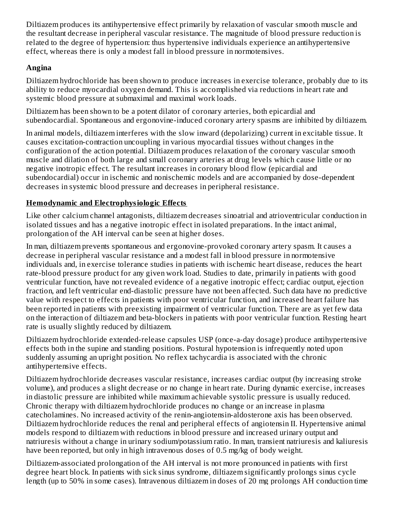Diltiazem produces its antihypertensive effect primarily by relaxation of vascular smooth muscle and the resultant decrease in peripheral vascular resistance. The magnitude of blood pressure reduction is related to the degree of hypertension: thus hypertensive individuals experience an antihypertensive effect, whereas there is only a modest fall in blood pressure in normotensives.

## **Angina**

Diltiazem hydrochloride has been shown to produce increases in exercise tolerance, probably due to its ability to reduce myocardial oxygen demand. This is accomplished via reductions in heart rate and systemic blood pressure at submaximal and maximal work loads.

Diltiazem has been shown to be a potent dilator of coronary arteries, both epicardial and subendocardial. Spontaneous and ergonovine-induced coronary artery spasms are inhibited by diltiazem.

In animal models, diltiazem interferes with the slow inward (depolarizing) current in excitable tissue. It causes excitation-contraction uncoupling in various myocardial tissues without changes in the configuration of the action potential. Diltiazem produces relaxation of the coronary vascular smooth muscle and dilation of both large and small coronary arteries at drug levels which cause little or no negative inotropic effect. The resultant increases in coronary blood flow (epicardial and subendocardial) occur in ischemic and nonischemic models and are accompanied by dose-dependent decreases in systemic blood pressure and decreases in peripheral resistance.

## **Hemodynamic and Electrophysiologic Effects**

Like other calcium channel antagonists, diltiazem decreases sinoatrial and atrioventricular conduction in isolated tissues and has a negative inotropic effect in isolated preparations. In the intact animal, prolongation of the AH interval can be seen at higher doses.

In man, diltiazem prevents spontaneous and ergonovine-provoked coronary artery spasm. It causes a decrease in peripheral vascular resistance and a modest fall in blood pressure in normotensive individuals and, in exercise tolerance studies in patients with ischemic heart disease, reduces the heart rate-blood pressure product for any given work load. Studies to date, primarily in patients with good ventricular function, have not revealed evidence of a negative inotropic effect; cardiac output, ejection fraction, and left ventricular end-diastolic pressure have not been affected. Such data have no predictive value with respect to effects in patients with poor ventricular function, and increased heart failure has been reported in patients with preexisting impairment of ventricular function. There are as yet few data on the interaction of diltiazem and beta-blockers in patients with poor ventricular function. Resting heart rate is usually slightly reduced by diltiazem.

Diltiazem hydrochloride extended-release capsules USP (once-a-day dosage) produce antihypertensive effects both in the supine and standing positions. Postural hypotension is infrequently noted upon suddenly assuming an upright position. No reflex tachycardia is associated with the chronic antihypertensive effects.

Diltiazem hydrochloride decreases vascular resistance, increases cardiac output (by increasing stroke volume), and produces a slight decrease or no change in heart rate. During dynamic exercise, increases in diastolic pressure are inhibited while maximum achievable systolic pressure is usually reduced. Chronic therapy with diltiazem hydrochloride produces no change or an increase in plasma catecholamines. No increased activity of the renin-angiotensin-aldosterone axis has been observed. Diltiazem hydrochloride reduces the renal and peripheral effects of angiotensin II. Hypertensive animal models respond to diltiazem with reductions in blood pressure and increased urinary output and natriuresis without a change in urinary sodium/potassium ratio. In man, transient natriuresis and kaliuresis have been reported, but only in high intravenous doses of 0.5 mg/kg of body weight.

Diltiazem-associated prolongation of the AH interval is not more pronounced in patients with first degree heart block. In patients with sick sinus syndrome, diltiazem significantly prolongs sinus cycle length (up to 50% in some cases). Intravenous diltiazem in doses of 20 mg prolongs AH conduction time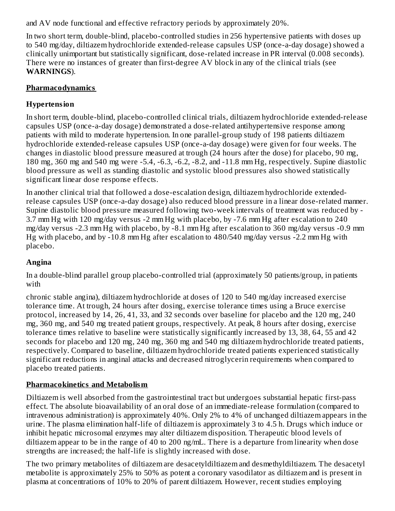and AV node functional and effective refractory periods by approximately 20%.

In two short term, double-blind, placebo-controlled studies in 256 hypertensive patients with doses up to 540 mg/day, diltiazem hydrochloride extended-release capsules USP (once-a-day dosage) showed a clinically unimportant but statistically significant, dose-related increase in PR interval (0.008 seconds). There were no instances of greater than first-degree AV block in any of the clinical trials (see **WARNINGS**).

## **Pharmacodynamics**

## **Hypertension**

In short term, double-blind, placebo-controlled clinical trials, diltiazem hydrochloride extended-release capsules USP (once-a-day dosage) demonstrated a dose-related antihypertensive response among patients with mild to moderate hypertension. In one parallel-group study of 198 patients diltiazem hydrochloride extended-release capsules USP (once-a-day dosage) were given for four weeks. The changes in diastolic blood pressure measured at trough (24 hours after the dose) for placebo, 90 mg, 180 mg, 360 mg and 540 mg were -5.4, -6.3, -6.2, -8.2, and -11.8 mm Hg, respectively. Supine diastolic blood pressure as well as standing diastolic and systolic blood pressures also showed statistically significant linear dose response effects.

In another clinical trial that followed a dose-escalation design, diltiazem hydrochloride extendedrelease capsules USP (once-a-day dosage) also reduced blood pressure in a linear dose-related manner. Supine diastolic blood pressure measured following two-week intervals of treatment was reduced by - 3.7 mm Hg with 120 mg/day versus -2 mm Hg with placebo, by -7.6 mm Hg after escalation to 240 mg/day versus -2.3 mm Hg with placebo, by -8.1 mm Hg after escalation to 360 mg/day versus -0.9 mm Hg with placebo, and by -10.8 mm Hg after escalation to 480/540 mg/day versus -2.2 mm Hg with placebo.

# **Angina**

In a double-blind parallel group placebo-controlled trial (approximately 50 patients/group, in patients with

chronic stable angina), diltiazem hydrochloride at doses of 120 to 540 mg/day increased exercise tolerance time. At trough, 24 hours after dosing, exercise tolerance times using a Bruce exercise protocol, increased by 14, 26, 41, 33, and 32 seconds over baseline for placebo and the 120 mg, 240 mg, 360 mg, and 540 mg treated patient groups, respectively. At peak, 8 hours after dosing, exercise tolerance times relative to baseline were statistically significantly increased by 13, 38, 64, 55 and 42 seconds for placebo and 120 mg, 240 mg, 360 mg and 540 mg diltiazem hydrochloride treated patients, respectively. Compared to baseline, diltiazem hydrochloride treated patients experienced statistically significant reductions in anginal attacks and decreased nitroglycerin requirements when compared to placebo treated patients.

# **Pharmacokinetics and Metabolism**

Diltiazem is well absorbed from the gastrointestinal tract but undergoes substantial hepatic first-pass effect. The absolute bioavailability of an oral dose of an immediate-release formulation (compared to intravenous administration) is approximately 40%. Only 2% to 4% of unchanged diltiazem appears in the urine. The plasma elimination half-life of diltiazem is approximately 3 to 4.5 h. Drugs which induce or inhibit hepatic microsomal enzymes may alter diltiazem disposition. Therapeutic blood levels of diltiazem appear to be in the range of 40 to 200 ng/mL. There is a departure from linearity when dose strengths are increased; the half-life is slightly increased with dose.

The two primary metabolites of diltiazem are desacetyldiltiazem and desmethyldiltiazem. The desacetyl metabolite is approximately 25% to 50% as potent a coronary vasodilator as diltiazem and is present in plasma at concentrations of 10% to 20% of parent diltiazem. However, recent studies employing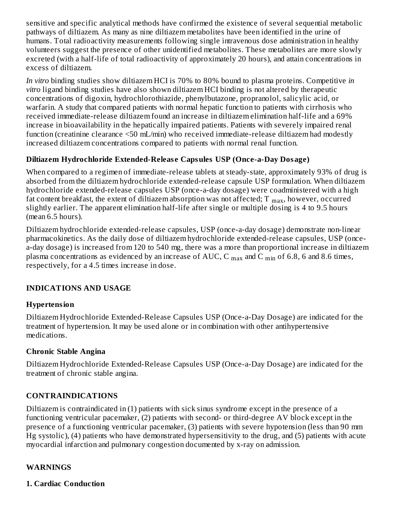sensitive and specific analytical methods have confirmed the existence of several sequential metabolic pathways of diltiazem. As many as nine diltiazem metabolites have been identified in the urine of humans. Total radioactivity measurements following single intravenous dose administration in healthy volunteers suggest the presence of other unidentified metabolites. These metabolites are more slowly excreted (with a half-life of total radioactivity of approximately 20 hours), and attain concentrations in excess of diltiazem.

*In vitro* binding studies show diltiazem HCI is 70% to 80% bound to plasma proteins. Competitive *in vitro* ligand binding studies have also shown diltiazem HCI binding is not altered by therapeutic concentrations of digoxin, hydrochlorothiazide, phenylbutazone, propranolol, salicylic acid, or warfarin. A study that compared patients with normal hepatic function to patients with cirrhosis who received immediate-release diltiazem found an increase in diltiazem elimination half-life and a 69% increase in bioavailability in the hepatically impaired patients. Patients with severely impaired renal function (creatinine clearance <50 mL/min) who received immediate-release diltiazem had modestly increased diltiazem concentrations compared to patients with normal renal function.

#### **Diltiazem Hydrochloride Extended-Releas e Capsules USP (Once-a-Day Dosage)**

When compared to a regimen of immediate-release tablets at steady-state, approximately 93% of drug is absorbed from the diltiazem hydrochloride extended-release capsule USP formulation. When diltiazem hydrochloride extended-release capsules USP (once-a-day dosage) were coadministered with a high fat content breakfast, the extent of diltiazem absorption was not affected; T  $_{\rm max}$ , however, occurred slightly earlier. The apparent elimination half-life after single or multiple dosing is 4 to 9.5 hours (mean 6.5 hours).

Diltiazem hydrochloride extended-release capsules, USP (once-a-day dosage) demonstrate non-linear pharmacokinetics. As the daily dose of diltiazem hydrochloride extended-release capsules, USP (oncea-day dosage) is increased from 120 to 540 mg, there was a more than proportional increase in diltiazem plasma concentrations as evidenced by an increase of AUC, C  $_{\rm max}$  and C  $_{\rm min}$  of 6.8, 6 and 8.6 times, respectively, for a 4.5 times increase in dose.

## **INDICATIONS AND USAGE**

#### **Hypertension**

Diltiazem Hydrochloride Extended-Release Capsules USP (Once-a-Day Dosage) are indicated for the treatment of hypertension. It may be used alone or in combination with other antihypertensive medications.

#### **Chronic Stable Angina**

Diltiazem Hydrochloride Extended-Release Capsules USP (Once-a-Day Dosage) are indicated for the treatment of chronic stable angina.

#### **CONTRAINDICATIONS**

Diltiazem is contraindicated in (1) patients with sick sinus syndrome except in the presence of a functioning ventricular pacemaker, (2) patients with second- or third-degree AV block except in the presence of a functioning ventricular pacemaker, (3) patients with severe hypotension (less than 90 mm Hg systolic), (4) patients who have demonstrated hypersensitivity to the drug, and (5) patients with acute myocardial infarction and pulmonary congestion documented by x-ray on admission.

#### **WARNINGS**

#### **1. Cardiac Conduction**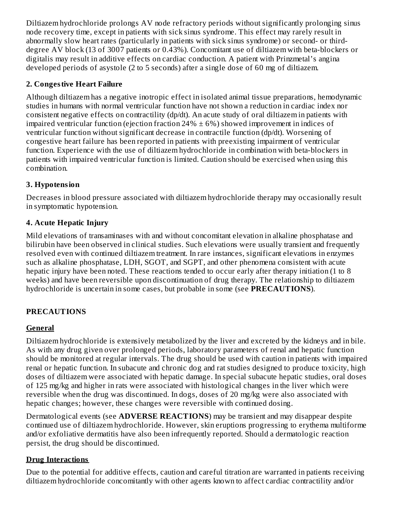Diltiazem hydrochloride prolongs AV node refractory periods without significantly prolonging sinus node recovery time, except in patients with sick sinus syndrome. This effect may rarely result in abnormally slow heart rates (particularly in patients with sick sinus syndrome) or second- or thirddegree AV block (13 of 3007 patients or 0.43%). Concomitant use of diltiazem with beta-blockers or digitalis may result in additive effects on cardiac conduction. A patient with Prinzmetal's angina developed periods of asystole (2 to 5 seconds) after a single dose of 60 mg of diltiazem.

# **2. Congestive Heart Failure**

Although diltiazem has a negative inotropic effect in isolated animal tissue preparations, hemodynamic studies in humans with normal ventricular function have not shown a reduction in cardiac index nor consistent negative effects on contractility (dp/dt). An acute study of oral diltiazem in patients with impaired ventricular function (ejection fraction  $24\% \pm 6\%$ ) showed improvement in indices of ventricular function without significant decrease in contractile function (dp/dt). Worsening of congestive heart failure has been reported in patients with preexisting impairment of ventricular function. Experience with the use of diltiazem hydrochloride in combination with beta-blockers in patients with impaired ventricular function is limited. Caution should be exercised when using this combination.

# **3. Hypotension**

Decreases in blood pressure associated with diltiazem hydrochloride therapy may occasionally result in symptomatic hypotension.

## **4. Acute Hepatic Injury**

Mild elevations of transaminases with and without concomitant elevation in alkaline phosphatase and bilirubin have been observed in clinical studies. Such elevations were usually transient and frequently resolved even with continued diltiazem treatment. In rare instances, significant elevations in enzymes such as alkaline phosphatase, LDH, SGOT, and SGPT, and other phenomena consistent with acute hepatic injury have been noted. These reactions tended to occur early after therapy initiation (1 to 8 weeks) and have been reversible upon discontinuation of drug therapy. The relationship to diltiazem hydrochloride is uncertain in some cases, but probable in some (see **PRECAUTIONS**).

# **PRECAUTIONS**

# **General**

Diltiazem hydrochloride is extensively metabolized by the liver and excreted by the kidneys and in bile. As with any drug given over prolonged periods, laboratory parameters of renal and hepatic function should be monitored at regular intervals. The drug should be used with caution in patients with impaired renal or hepatic function. In subacute and chronic dog and rat studies designed to produce toxicity, high doses of diltiazem were associated with hepatic damage. In special subacute hepatic studies, oral doses of 125 mg/kg and higher in rats were associated with histological changes in the liver which were reversible when the drug was discontinued. In dogs, doses of 20 mg/kg were also associated with hepatic changes; however, these changes were reversible with continued dosing.

Dermatological events (see **ADVERSE REACTIONS**) may be transient and may disappear despite continued use of diltiazem hydrochloride. However, skin eruptions progressing to erythema multiforme and/or exfoliative dermatitis have also been infrequently reported. Should a dermatologic reaction persist, the drug should be discontinued.

# **Drug Interactions**

Due to the potential for additive effects, caution and careful titration are warranted in patients receiving diltiazem hydrochloride concomitantly with other agents known to affect cardiac contractility and/or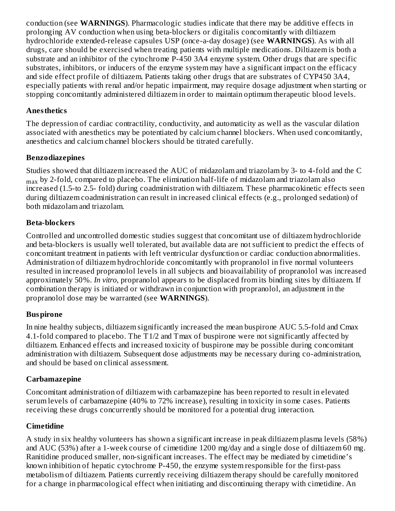conduction (see **WARNINGS**). Pharmacologic studies indicate that there may be additive effects in prolonging AV conduction when using beta-blockers or digitalis concomitantly with diltiazem hydrochloride extended-release capsules USP (once-a-day dosage) (see **WARNINGS**). As with all drugs, care should be exercised when treating patients with multiple medications. Diltiazem is both a substrate and an inhibitor of the cytochrome P-450 3A4 enzyme system. Other drugs that are specific substrates, inhibitors, or inducers of the enzyme system may have a significant impact on the efficacy and side effect profile of diltiazem. Patients taking other drugs that are substrates of CYP450 3A4, especially patients with renal and/or hepatic impairment, may require dosage adjustment when starting or stopping concomitantly administered diltiazem in order to maintain optimum therapeutic blood levels.

#### **Anesthetics**

The depression of cardiac contractility, conductivity, and automaticity as well as the vascular dilation associated with anesthetics may be potentiated by calcium channel blockers. When used concomitantly, anesthetics and calcium channel blockers should be titrated carefully.

## **Benzodiazepines**

Studies showed that diltiazem increased the AUC of midazolam and triazolam by 3- to 4-fold and the C  $_{\rm max}$  by 2-fold, compared to placebo. The elimination half-life of midazolam and triazolam also increased (1.5-to 2.5- fold) during coadministration with diltiazem. These pharmacokinetic effects seen during diltiazem coadministration can result in increased clinical effects (e.g., prolonged sedation) of both midazolam and triazolam.

#### **Beta-blockers**

Controlled and uncontrolled domestic studies suggest that concomitant use of diltiazem hydrochloride and beta-blockers is usually well tolerated, but available data are not sufficient to predict the effects of concomitant treatment in patients with left ventricular dysfunction or cardiac conduction abnormalities. Administration of diltiazem hydrochloride concomitantly with propranolol in five normal volunteers resulted in increased propranolol levels in all subjects and bioavailability of propranolol was increased approximately 50%. *In vitro*, propranolol appears to be displaced from its binding sites by diltiazem. If combination therapy is initiated or withdrawn in conjunction with propranolol, an adjustment in the propranolol dose may be warranted (see **WARNINGS**).

## **Buspirone**

In nine healthy subjects, diltiazem significantly increased the mean buspirone AUC 5.5-fold and Cmax 4.1-fold compared to placebo. The T1/2 and Tmax of buspirone were not significantly affected by diltiazem. Enhanced effects and increased toxicity of buspirone may be possible during concomitant administration with diltiazem. Subsequent dose adjustments may be necessary during co-administration, and should be based on clinical assessment.

## **Carbamazepine**

Concomitant administration of diltiazem with carbamazepine has been reported to result in elevated serum levels of carbamazepine (40% to 72% increase), resulting in toxicity in some cases. Patients receiving these drugs concurrently should be monitored for a potential drug interaction.

## **Cimetidine**

A study in six healthy volunteers has shown a significant increase in peak diltiazem plasma levels (58%) and AUC (53%) after a 1-week course of cimetidine 1200 mg/day and a single dose of diltiazem 60 mg. Ranitidine produced smaller, non-significant increases. The effect may be mediated by cimetidine's known inhibition of hepatic cytochrome P-450, the enzyme system responsible for the first-pass metabolism of diltiazem. Patients currently receiving diltiazem therapy should be carefully monitored for a change in pharmacological effect when initiating and discontinuing therapy with cimetidine. An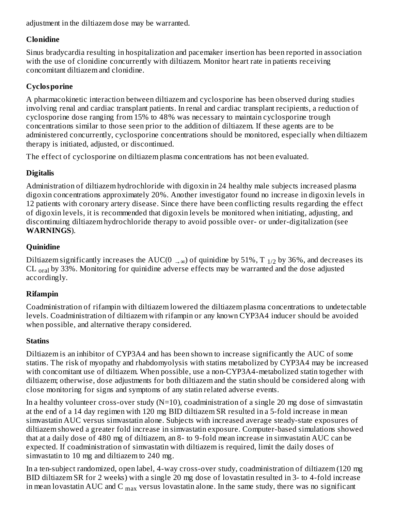adjustment in the diltiazem dose may be warranted.

## **Clonidine**

Sinus bradycardia resulting in hospitalization and pacemaker insertion has been reported in association with the use of clonidine concurrently with diltiazem. Monitor heart rate in patients receiving concomitant diltiazem and clonidine.

# **Cyclosporine**

A pharmacokinetic interaction between diltiazem and cyclosporine has been observed during studies involving renal and cardiac transplant patients. In renal and cardiac transplant recipients, a reduction of cyclosporine dose ranging from 15% to 48% was necessary to maintain cyclosporine trough concentrations similar to those seen prior to the addition of diltiazem. If these agents are to be administered concurrently, cyclosporine concentrations should be monitored, especially when diltiazem therapy is initiated, adjusted, or discontinued.

The effect of cyclosporine on diltiazem plasma concentrations has not been evaluated.

# **Digitalis**

Administration of diltiazem hydrochloride with digoxin in 24 healthy male subjects increased plasma digoxin concentrations approximately 20%. Another investigator found no increase in digoxin levels in 12 patients with coronary artery disease. Since there have been conflicting results regarding the effect of digoxin levels, it is recommended that digoxin levels be monitored when initiating, adjusting, and discontinuing diltiazem hydrochloride therapy to avoid possible over- or under-digitalization (see **WARNINGS**).

# **Quinidine**

Diltiazem significantly increases the AUC(0  $_{\rightarrow \infty}$ ) of quinidine by 51%, T  $_{1/2}$  by 36%, and decreases its  $CL$   $_{\text{oral}}$  by 33%. Monitoring for quinidine adverse effects may be warranted and the dose adjusted accordingly.

# **Rifampin**

Coadministration of rifampin with diltiazem lowered the diltiazem plasma concentrations to undetectable levels. Coadministration of diltiazem with rifampin or any known CYP3A4 inducer should be avoided when possible, and alternative therapy considered.

# **Statins**

Diltiazem is an inhibitor of CYP3A4 and has been shown to increase significantly the AUC of some statins. The risk of myopathy and rhabdomyolysis with statins metabolized by CYP3A4 may be increased with concomitant use of diltiazem. When possible, use a non-CYP3A4-metabolized statin together with diltiazem; otherwise, dose adjustments for both diltiazem and the statin should be considered along with close monitoring for signs and symptoms of any statin related adverse events.

In a healthy volunteer cross-over study  $(N=10)$ , coadministration of a single 20 mg dose of simvastatin at the end of a 14 day regimen with 120 mg BID diltiazem SR resulted in a 5-fold increase in mean simvastatin AUC versus simvastatin alone. Subjects with increased average steady-state exposures of diltiazem showed a greater fold increase in simvastatin exposure. Computer-based simulations showed that at a daily dose of 480 mg of diltiazem, an 8- to 9-fold mean increase in simvastatin AUC can be expected. If coadministration of simvastatin with diltiazem is required, limit the daily doses of simvastatin to 10 mg and diltiazem to 240 mg.

In a ten-subject randomized, open label, 4-way cross-over study, coadministration of diltiazem (120 mg BID diltiazem SR for 2 weeks) with a single 20 mg dose of lovastatin resulted in 3- to 4-fold increase in mean lovastatin AUC and C  $_{\rm max}$  versus lovastatin alone. In the same study, there was no significant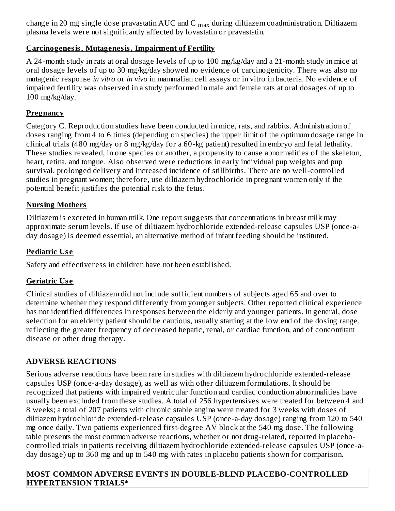change in 20 mg single dose pravastatin AUC and C  $_{\text{max}}$  during diltiazem coadministration. Diltiazem plasma levels were not significantly affected by lovastatin or pravastatin. ...<sub>...</sub>. max

## **Carcinogenesis, Mutagenesis, Impairment of Fertility**

A 24-month study in rats at oral dosage levels of up to 100 mg/kg/day and a 21-month study in mice at oral dosage levels of up to 30 mg/kg/day showed no evidence of carcinogenicity. There was also no mutagenic response *in vitro* or *in vivo* in mammalian cell assays or in vitro in bacteria. No evidence of impaired fertility was observed in a study performed in male and female rats at oral dosages of up to 100 mg/kg/day.

#### **Pregnancy**

Category C. Reproduction studies have been conducted in mice, rats, and rabbits. Administration of doses ranging from 4 to 6 times (depending on species) the upper limit of the optimum dosage range in clinical trials (480 mg/day or 8 mg/kg/day for a 60-kg patient) resulted in embryo and fetal lethality. These studies revealed, in one species or another, a propensity to cause abnormalities of the skeleton, heart, retina, and tongue. Also observed were reductions in early individual pup weights and pup survival, prolonged delivery and increased incidence of stillbirths. There are no well-controlled studies in pregnant women; therefore, use diltiazem hydrochloride in pregnant women only if the potential benefit justifies the potential risk to the fetus.

#### **Nursing Mothers**

Diltiazem is excreted in human milk. One report suggests that concentrations in breast milk may approximate serum levels. If use of diltiazem hydrochloride extended-release capsules USP (once-aday dosage) is deemed essential, an alternative method of infant feeding should be instituted.

#### **Pediatric Us e**

Safety and effectiveness in children have not been established.

#### **Geriatric Us e**

Clinical studies of diltiazem did not include sufficient numbers of subjects aged 65 and over to determine whether they respond differently from younger subjects. Other reported clinical experience has not identified differences in responses between the elderly and younger patients. In general, dose selection for an elderly patient should be cautious, usually starting at the low end of the dosing range, reflecting the greater frequency of decreased hepatic, renal, or cardiac function, and of concomitant disease or other drug therapy.

## **ADVERSE REACTIONS**

Serious adverse reactions have been rare in studies with diltiazem hydrochloride extended-release capsules USP (once-a-day dosage), as well as with other diltiazem formulations. It should be recognized that patients with impaired ventricular function and cardiac conduction abnormalities have usually been excluded from these studies. A total of 256 hypertensives were treated for between 4 and 8 weeks; a total of 207 patients with chronic stable angina were treated for 3 weeks with doses of diltiazem hydrochloride extended-release capsules USP (once-a-day dosage) ranging from 120 to 540 mg once daily. Two patients experienced first-degree AV block at the 540 mg dose. The following table presents the most common adverse reactions, whether or not drug-related, reported in placebocontrolled trials in patients receiving diltiazem hydrochloride extended-release capsules USP (once-aday dosage) up to 360 mg and up to 540 mg with rates in placebo patients shown for comparison.

#### **MOST COMMON ADVERSE EVENTS IN DOUBLE-BLIND PLACEBO-CONTROLLED HYPERTENSION TRIALS\***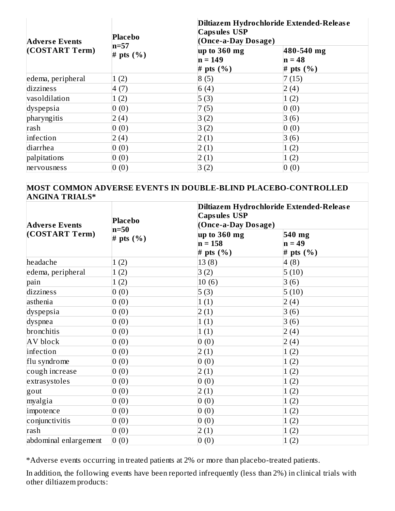| <b>Adverse Events</b> | <b>Placebo</b><br>$n=57$<br># pts $(\% )$ | Diltiazem Hydrochloride Extended-Release<br><b>Capsules USP</b><br>(Once-a-Day Dosage) |                                         |  |  |
|-----------------------|-------------------------------------------|----------------------------------------------------------------------------------------|-----------------------------------------|--|--|
| (COSTART Term)        |                                           | $\mu$ p to 360 mg<br>$n = 149$<br># pts $(\% )$                                        | 480-540 mg<br>$n = 48$<br># pts $(\% )$ |  |  |
| edema, peripheral     | 1(2)                                      | 8(5)                                                                                   | 7(15)                                   |  |  |
| dizziness             | 4(7)                                      | 6(4)                                                                                   | 2(4)                                    |  |  |
| vasoldilation         | 1(2)                                      | 5(3)                                                                                   | 1(2)                                    |  |  |
| dyspepsia             | 0(0)                                      | 7(5)                                                                                   | 0(0)                                    |  |  |
| pharyngitis           | (4)                                       | 3(2)                                                                                   | 3(6)                                    |  |  |
| rash                  | 0(0)                                      | 3(2)                                                                                   | 0(0)                                    |  |  |
| infection             | 2(4)                                      | 2(1)                                                                                   | 3(6)                                    |  |  |
| diarrhea              | 0(0)                                      | 2(1)                                                                                   | 1(2)                                    |  |  |
| palpitations          | 0(0)                                      | 2(1)                                                                                   | 1(2)                                    |  |  |
| nervousness           | 0(0)                                      | 3(2)                                                                                   | 0(0)                                    |  |  |

#### **MOST COMMON ADVERSE EVENTS IN DOUBLE-BLIND PLACEBO-CONTROLLED ANGINA TRIALS\***

| <b>Adverse Events</b> | <b>Placebo</b><br>$n=50$ | <b>Capsules USP</b>                          | Diltiazem Hydrochloride Extended-Release<br>(Once-a-Day Dosage) |  |  |  |
|-----------------------|--------------------------|----------------------------------------------|-----------------------------------------------------------------|--|--|--|
| (COSTART Term)        | # pts $(\% )$            | $up$ to 360 mg<br>$n = 158$<br># pts $(\% )$ | 540 mg<br>$n = 49$<br># pts $(\% )$                             |  |  |  |
| headache              | 1(2)                     | 13(8)                                        | 4(8)                                                            |  |  |  |
| edema, peripheral     | 1(2)                     | 3(2)                                         | 5(10)                                                           |  |  |  |
| pain                  | 1(2)                     | 10(6)                                        | 3(6)                                                            |  |  |  |
| dizziness             | 0(0)                     | 5(3)                                         | 5(10)                                                           |  |  |  |
| asthenia              | 0(0)                     | 1(1)                                         | 2(4)                                                            |  |  |  |
| dyspepsia             | 0(0)                     | 2(1)                                         | 3(6)                                                            |  |  |  |
| dyspnea               | 0(0)                     | 1(1)                                         | 3(6)                                                            |  |  |  |
| bronchitis            | 0(0)                     | 1(1)                                         | 2(4)                                                            |  |  |  |
| AV block              | 0(0)                     | 0(0)                                         | 2(4)                                                            |  |  |  |
| infection             | 0(0)                     | 2(1)                                         | 1(2)                                                            |  |  |  |
| flu syndrome          | 0(0)                     | 0(0)                                         | 1(2)                                                            |  |  |  |
| cough increase        | 0(0)                     | 2(1)                                         | 1(2)                                                            |  |  |  |
| extrasystoles         | 0(0)                     | 0(0)                                         | 1(2)                                                            |  |  |  |
| gout                  | 0(0)                     | 2(1)                                         | 1(2)                                                            |  |  |  |
| myalgia               | 0(0)                     | 0(0)                                         | 1(2)                                                            |  |  |  |
| impotence             | 0(0)                     | 0(0)                                         | 1(2)                                                            |  |  |  |
| conjunctivitis        | 0(0)                     | 0(0)                                         | 1(2)                                                            |  |  |  |
| rash                  | 0(0)                     | 2(1)                                         | 1(2)                                                            |  |  |  |
| abdominal enlargement | 0(0)                     | 0(0)                                         | 1(2)                                                            |  |  |  |

\*Adverse events occurring in treated patients at 2% or more than placebo-treated patients.

In addition, the following events have been reported infrequently (less than 2%) in clinical trials with other diltiazem products: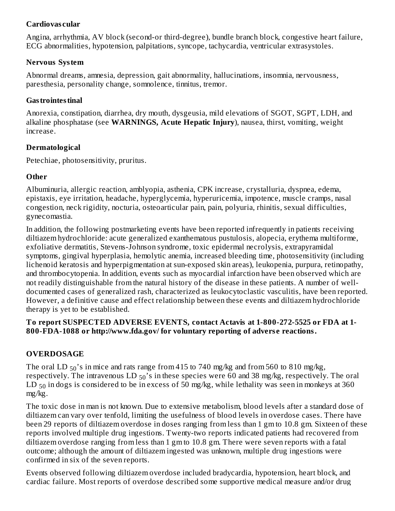#### **Cardiovas cular**

Angina, arrhythmia, AV block (second-or third-degree), bundle branch block, congestive heart failure, ECG abnormalities, hypotension, palpitations, syncope, tachycardia, ventricular extrasystoles.

#### **Nervous System**

Abnormal dreams, amnesia, depression, gait abnormality, hallucinations, insomnia, nervousness, paresthesia, personality change, somnolence, tinnitus, tremor.

#### **Gastrointestinal**

Anorexia, constipation, diarrhea, dry mouth, dysgeusia, mild elevations of SGOT, SGPT, LDH, and alkaline phosphatase (see **WARNINGS, Acute Hepatic Injury**), nausea, thirst, vomiting, weight increase.

#### **Dermatological**

Petechiae, photosensitivity, pruritus.

#### **Other**

Albuminuria, allergic reaction, amblyopia, asthenia, CPK increase, crystalluria, dyspnea, edema, epistaxis, eye irritation, headache, hyperglycemia, hyperuricemia, impotence, muscle cramps, nasal congestion, neck rigidity, nocturia, osteoarticular pain, pain, polyuria, rhinitis, sexual difficulties, gynecomastia.

In addition, the following postmarketing events have been reported infrequently in patients receiving diltiazem hydrochloride: acute generalized exanthematous pustulosis, alopecia, erythema multiforme, exfoliative dermatitis, Stevens-Johnson syndrome, toxic epidermal necrolysis, extrapyramidal symptoms, gingival hyperplasia, hemolytic anemia, increased bleeding time, photosensitivity (including lichenoid keratosis and hyperpigmentation at sun-exposed skin areas), leukopenia, purpura, retinopathy, and thrombocytopenia. In addition, events such as myocardial infarction have been observed which are not readily distinguishable from the natural history of the disease in these patients. A number of welldocumented cases of generalized rash, characterized as leukocytoclastic vasculitis, have been reported. However, a definitive cause and effect relationship between these events and diltiazem hydrochloride therapy is yet to be established.

#### **To report SUSPECTED ADVERSE EVENTS, contact Actavis at 1-800-272-5525 or FDA at 1- 800-FDA-1088 or http://www.fda.gov/ for voluntary reporting of advers e reactions.**

#### **OVERDOSAGE**

The oral LD  $_{50}$ 's in mice and rats range from 415 to 740 mg/kg and from 560 to 810 mg/kg, respectively. The intravenous LD  $_{50}\!\!^{\prime}$ s in these species were 60 and 38 mg/kg, respectively. The oral  ${\rm LD~_{50}}$  in dogs is considered to be in excess of 50 mg/kg, while lethality was seen in monkeys at 360 mg/kg.

The toxic dose in man is not known. Due to extensive metabolism, blood levels after a standard dose of diltiazem can vary over tenfold, limiting the usefulness of blood levels in overdose cases. There have been 29 reports of diltiazem overdose in doses ranging from less than 1 gm to 10.8 gm. Sixteen of these reports involved multiple drug ingestions. Twenty-two reports indicated patients had recovered from diltiazem overdose ranging from less than 1 gm to 10.8 gm. There were seven reports with a fatal outcome; although the amount of diltiazem ingested was unknown, multiple drug ingestions were confirmed in six of the seven reports.

Events observed following diltiazem overdose included bradycardia, hypotension, heart block, and cardiac failure. Most reports of overdose described some supportive medical measure and/or drug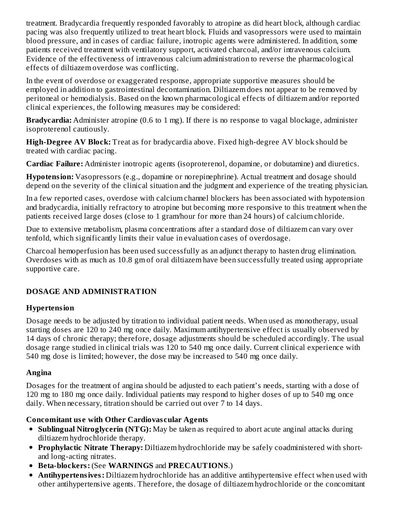treatment. Bradycardia frequently responded favorably to atropine as did heart block, although cardiac pacing was also frequently utilized to treat heart block. Fluids and vasopressors were used to maintain blood pressure, and in cases of cardiac failure, inotropic agents were administered. In addition, some patients received treatment with ventilatory support, activated charcoal, and/or intravenous calcium. Evidence of the effectiveness of intravenous calcium administration to reverse the pharmacological effects of diltiazem overdose was conflicting.

In the event of overdose or exaggerated response, appropriate supportive measures should be employed in addition to gastrointestinal decontamination. Diltiazem does not appear to be removed by peritoneal or hemodialysis. Based on the known pharmacological effects of diltiazem and/or reported clinical experiences, the following measures may be considered:

**Bradycardia:** Administer atropine (0.6 to 1 mg). If there is no response to vagal blockage, administer isoproterenol cautiously.

**High-Degree AV Block:** Treat as for bradycardia above. Fixed high-degree AV block should be treated with cardiac pacing.

**Cardiac Failure:** Administer inotropic agents (isoproterenol, dopamine, or dobutamine) and diuretics.

**Hypotension:** Vasopressors (e.g., dopamine or norepinephrine). Actual treatment and dosage should depend on the severity of the clinical situation and the judgment and experience of the treating physician.

In a few reported cases, overdose with calcium channel blockers has been associated with hypotension and bradycardia, initially refractory to atropine but becoming more responsive to this treatment when the patients received large doses (close to 1 gram/hour for more than 24 hours) of calcium chloride.

Due to extensive metabolism, plasma concentrations after a standard dose of diltiazem can vary over tenfold, which significantly limits their value in evaluation cases of overdosage.

Charcoal hemoperfusion has been used successfully as an adjunct therapy to hasten drug elimination. Overdoses with as much as 10.8 gm of oral diltiazem have been successfully treated using appropriate supportive care.

# **DOSAGE AND ADMINISTRATION**

## **Hypertension**

Dosage needs to be adjusted by titration to individual patient needs. When used as monotherapy, usual starting doses are 120 to 240 mg once daily. Maximum antihypertensive effect is usually observed by 14 days of chronic therapy; therefore, dosage adjustments should be scheduled accordingly. The usual dosage range studied in clinical trials was 120 to 540 mg once daily. Current clinical experience with 540 mg dose is limited; however, the dose may be increased to 540 mg once daily.

# **Angina**

Dosages for the treatment of angina should be adjusted to each patient's needs, starting with a dose of 120 mg to 180 mg once daily. Individual patients may respond to higher doses of up to 540 mg once daily. When necessary, titration should be carried out over 7 to 14 days.

# **Concomitant us e with Other Cardiovas cular Agents**

- **Sublingual Nitroglycerin (NTG):** May be taken as required to abort acute anginal attacks during diltiazem hydrochloride therapy.
- **Prophylactic Nitrate Therapy:** Diltiazem hydrochloride may be safely coadministered with shortand long-acting nitrates.
- **Beta-blockers:** (See **WARNINGS** and **PRECAUTIONS**.)
- **Antihypertensives:** Diltiazem hydrochloride has an additive antihypertensive effect when used with other antihypertensive agents. Therefore, the dosage of diltiazem hydrochloride or the concomitant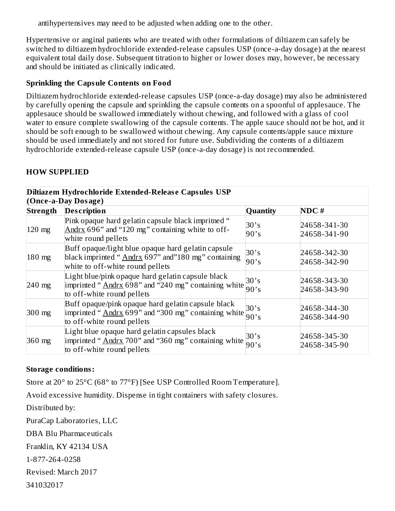antihypertensives may need to be adjusted when adding one to the other.

Hypertensive or anginal patients who are treated with other formulations of diltiazem can safely be switched to diltiazem hydrochloride extended-release capsules USP (once-a-day dosage) at the nearest equivalent total daily dose. Subsequent titration to higher or lower doses may, however, be necessary and should be initiated as clinically indicated.

#### **Sprinkling the Capsule Contents on Food**

Diltiazem hydrochloride extended-release capsules USP (once-a-day dosage) may also be administered by carefully opening the capsule and sprinkling the capsule contents on a spoonful of applesauce. The applesauce should be swallowed immediately without chewing, and followed with a glass of cool water to ensure complete swallowing of the capsule contents. The apple sauce should not be hot, and it should be soft enough to be swallowed without chewing. Any capsule contents/apple sauce mixture should be used immediately and not stored for future use. Subdividing the contents of a diltiazem hydrochloride extended-release capsule USP (once-a-day dosage) is not recommended.

#### **HOW SUPPLIED**

|                 | Diltiazem Hydrochloride Extended-Release Capsules USP                                                                                        |              |                              |
|-----------------|----------------------------------------------------------------------------------------------------------------------------------------------|--------------|------------------------------|
|                 | (Once-a-Day Dosage)                                                                                                                          |              |                              |
| <b>Strength</b> | <b>Description</b>                                                                                                                           | Quantity     | NDC#                         |
| $120$ mg        | Pink opaque hard gelatin capsule black impritned "<br>Andrx 696" and "120 mg" containing white to off-<br>white round pellets                | 30's<br>90's | 24658-341-30<br>24658-341-90 |
| $180$ mg        | Buff opaque/light blue opaque hard gelatin capsule<br>black imprinted "Andrx 697" and"180 mg" containing<br>white to off-white round pellets | 30's<br>90's | 24658-342-30<br>24658-342-90 |
| $240$ mg        | Light blue/pink opaque hard gelatin capsule black<br>imprinted "Andrx 698" and "240 mg" containing white<br>to off-white round pellets       | 30's<br>90's | 24658-343-30<br>24658-343-90 |
| 300 mg          | Buff opaque/pink opaque hard gelatin capsule black<br>imprinted "Andrx 699" and "300 mg" containing white<br>to off-white round pellets      | 30's<br>90's | 24658-344-30<br>24658-344-90 |
| $360$ mg        | Light blue opaque hard gelatin capsules black<br>imprinted "Andrx 700" and "360 mg" containing white<br>to off-white round pellets           | 30's<br>90's | 24658-345-30<br>24658-345-90 |

#### **Storage conditions:**

Store at 20° to 25°C (68° to 77°F) [See USP Controlled Room Temperature].

Avoid excessive humidity. Dispense in tight containers with safety closures.

Distributed by:

PuraCap Laboratories, LLC

DBA Blu Pharmaceuticals

Franklin, KY 42134 USA

1-877-264-0258

Revised: March 2017

341032017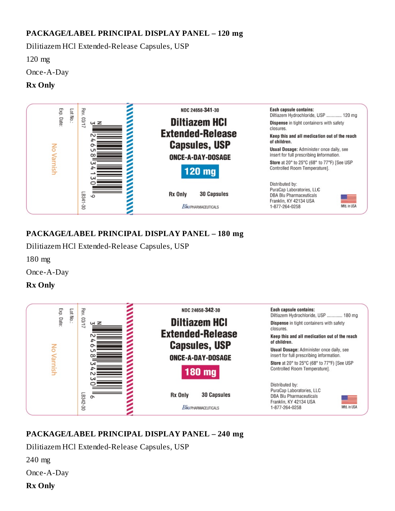## **PACKAGE/LABEL PRINCIPAL DISPLAY PANEL – 120 mg**

Dilitiazem HCl Extended-Release Capsules, USP

120 mg

Once-A-Day

## **Rx Only**



# **PACKAGE/LABEL PRINCIPAL DISPLAY PANEL – 180 mg**

Dilitiazem HCl Extended-Release Capsules, USP

180 mg

Once-A-Day

#### **Rx Only**



# **PACKAGE/LABEL PRINCIPAL DISPLAY PANEL – 240 mg**

Dilitiazem HCl Extended-Release Capsules, USP

240 mg

Once-A-Day

#### **Rx Only**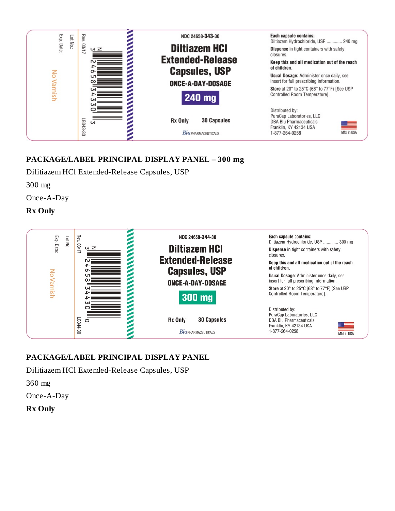

## **PACKAGE/LABEL PRINCIPAL DISPLAY PANEL – 300 mg**

Dilitiazem HCl Extended-Release Capsules, USP

300 mg

Once-A-Day

#### **Rx Only**



## **PACKAGE/LABEL PRINCIPAL DISPLAY PANEL**

Dilitiazem HCl Extended-Release Capsules, USP

360 mg

Once-A-Day

**Rx Only**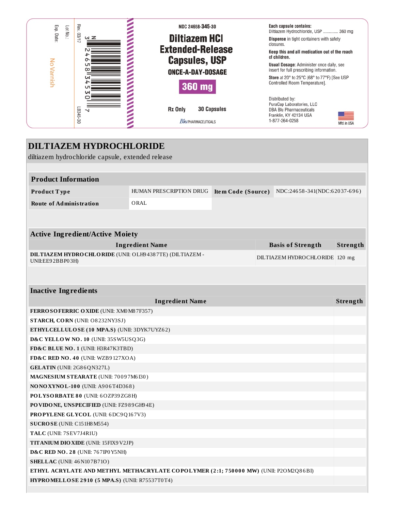

| <b>DILTIAZEM HYDROCHLORIDE</b>                                                       |                         |                    |                                |          |
|--------------------------------------------------------------------------------------|-------------------------|--------------------|--------------------------------|----------|
| diltiazem hydrochloride capsule, extended release                                    |                         |                    |                                |          |
|                                                                                      |                         |                    |                                |          |
| <b>Product Information</b>                                                           |                         |                    |                                |          |
| Product Type                                                                         | HUMAN PRESCRIPTION DRUG | Item Code (Source) | NDC:24658-341(NDC:62037-696)   |          |
| <b>Route of Administration</b>                                                       | ORAL                    |                    |                                |          |
|                                                                                      |                         |                    |                                |          |
|                                                                                      |                         |                    |                                |          |
| <b>Active Ingredient/Active Moiety</b>                                               |                         |                    |                                |          |
|                                                                                      | <b>Ingredient Name</b>  |                    | <b>Basis of Strength</b>       | Strength |
| DILTIAZEM HYDRO CHLORIDE (UNII: OLH94387TE) (DILTIAZEM -                             |                         |                    | DILTIAZEM HYDROCHLORIDE 120 mg |          |
| UNII:EE92BBP03H)                                                                     |                         |                    |                                |          |
|                                                                                      |                         |                    |                                |          |
| <b>Inactive Ingredients</b>                                                          |                         |                    |                                |          |
|                                                                                      | <b>Ingredient Name</b>  |                    |                                | Strength |
| FERROSOFERRIC OXIDE (UNII: XM0 M8 7F357)                                             |                         |                    |                                |          |
| STARCH, CORN (UNII: O8232NY3SJ)                                                      |                         |                    |                                |          |
| ETHYLCELLULOSE (10 MPA.S) (UNII: 3DYK7UYZ62)                                         |                         |                    |                                |          |
| D&C YELLOW NO. 10 (UNII: 35SW5USQ3G)                                                 |                         |                    |                                |          |
| FD&C BLUE NO. 1 (UNII: H3R47K3TBD)                                                   |                         |                    |                                |          |
| FD&C RED NO. 40 (UNII: WZB9127XOA)                                                   |                         |                    |                                |          |
| GELATIN (UNII: 2G86QN327L)                                                           |                         |                    |                                |          |
| MAGNESIUM STEARATE (UNII: 70097M6I30)                                                |                         |                    |                                |          |
| NONOXYNOL-100 (UNII: A906T4D368)                                                     |                         |                    |                                |          |
| POLYSORBATE 80 (UNII: 6OZP39ZG8H)                                                    |                         |                    |                                |          |
| PO VIDONE, UNSPECIFIED (UNII: FZ989GH94E)                                            |                         |                    |                                |          |
| <b>PROPYLENE GLYCOL (UNII: 6DC9Q167V3)</b>                                           |                         |                    |                                |          |
| SUCROSE (UNII: C151H8 M554)                                                          |                         |                    |                                |          |
| TALC (UNII: 7SEV7J4R1U)                                                              |                         |                    |                                |          |
| <b>TITANIUM DIO XIDE (UNII: 15FIX9V2JP)</b>                                          |                         |                    |                                |          |
| <b>D&amp;C RED NO. 28 (UNII: 767IP0 Y5NH)</b>                                        |                         |                    |                                |          |
| <b>SHELLAC</b> (UNII: 46 N107B71O)                                                   |                         |                    |                                |          |
| ETHYL ACRYLATE AND METHYL METHACRYLATE COPOLYMER (2:1; 750000 MW) (UNII: P2OM2Q86BI) |                         |                    |                                |          |
| HYPROMELLOSE 2910 (5 MPA.S) (UNII: R75537T0T4)                                       |                         |                    |                                |          |
|                                                                                      |                         |                    |                                |          |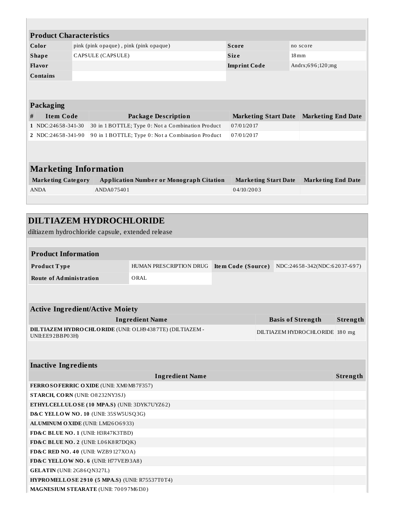|                           | <b>Product Characteristics</b> |                                                   |                             |                           |  |  |  |
|---------------------------|--------------------------------|---------------------------------------------------|-----------------------------|---------------------------|--|--|--|
| Color                     |                                | pink (pink opaque), pink (pink opaque)            | <b>Score</b>                | no score                  |  |  |  |
| <b>Shape</b>              |                                | CAPSULE (CAPSULE)                                 | <b>Size</b>                 | $18 \,\mathrm{mm}$        |  |  |  |
| Flavor                    |                                |                                                   | <b>Imprint Code</b>         | Andrx;696;120;mg          |  |  |  |
| Contains                  |                                |                                                   |                             |                           |  |  |  |
|                           |                                |                                                   |                             |                           |  |  |  |
|                           |                                |                                                   |                             |                           |  |  |  |
| <b>Packaging</b>          |                                |                                                   |                             |                           |  |  |  |
| <b>Item Code</b><br>#     |                                | <b>Package Description</b>                        | <b>Marketing Start Date</b> | <b>Marketing End Date</b> |  |  |  |
| 1 NDC:24658-341-30        |                                | 30 in 1 BOTTLE; Type 0: Not a Combination Product | 07/01/2017                  |                           |  |  |  |
| 2 NDC:24658-341-90        |                                | 90 in 1 BOTTLE; Type 0: Not a Combination Product | 07/01/2017                  |                           |  |  |  |
|                           |                                |                                                   |                             |                           |  |  |  |
|                           |                                |                                                   |                             |                           |  |  |  |
|                           | <b>Marketing Information</b>   |                                                   |                             |                           |  |  |  |
| <b>Marketing Category</b> |                                | <b>Application Number or Monograph Citation</b>   | <b>Marketing Start Date</b> | <b>Marketing End Date</b> |  |  |  |
| <b>ANDA</b>               |                                | ANDA075401                                        | 04/10/2003                  |                           |  |  |  |
|                           |                                |                                                   |                             |                           |  |  |  |

| <b>DILTIAZEM HYDROCHLORIDE</b>                                               |                         |                    |  |                                |          |
|------------------------------------------------------------------------------|-------------------------|--------------------|--|--------------------------------|----------|
| diltiazem hydrochloride capsule, extended release                            |                         |                    |  |                                |          |
|                                                                              |                         |                    |  |                                |          |
| <b>Product Information</b>                                                   |                         |                    |  |                                |          |
| Product Type                                                                 | HUMAN PRESCRIPTION DRUG | Item Code (Source) |  | NDC:24658-342(NDC:62037-697)   |          |
| <b>Route of Administration</b>                                               | ORAL                    |                    |  |                                |          |
|                                                                              |                         |                    |  |                                |          |
|                                                                              |                         |                    |  |                                |          |
| <b>Active Ingredient/Active Moiety</b>                                       |                         |                    |  |                                |          |
|                                                                              | <b>Ingredient Name</b>  |                    |  | <b>Basis of Strength</b>       | Strength |
| DILTIAZEM HYDRO CHLORIDE (UNII: OLH94387TE) (DILTIAZEM -<br>UNII:EE92BBP03H) |                         |                    |  | DILTIAZEM HYDROCHLORIDE 180 mg |          |
|                                                                              |                         |                    |  |                                |          |
|                                                                              |                         |                    |  |                                |          |
| <b>Inactive Ingredients</b>                                                  |                         |                    |  |                                |          |
|                                                                              | <b>Ingredient Name</b>  |                    |  |                                | Strength |
| FERROSOFERRIC OXIDE (UNII: XM0 M8 7F357)                                     |                         |                    |  |                                |          |
| STARCH, CORN (UNII: O8232NY3SJ)                                              |                         |                    |  |                                |          |
| ETHYLCELLULOSE (10 MPA.S) (UNII: 3DYK7UYZ62)                                 |                         |                    |  |                                |          |
| D&C YELLOW NO. 10 (UNII: 35SW5USQ3G)                                         |                         |                    |  |                                |          |
| ALUMINUM OXIDE (UNII: LMI26O6933)                                            |                         |                    |  |                                |          |
| FD&C BLUE NO. 1 (UNII: H3R47K3TBD)                                           |                         |                    |  |                                |          |
| FD&C BLUE NO. 2 (UNII: L06K8R7DQK)                                           |                         |                    |  |                                |          |
| FD&C RED NO. 40 (UNII: WZB9127XOA)                                           |                         |                    |  |                                |          |
| FD&C YELLOW NO. 6 (UNII: H77VEI93A8)                                         |                         |                    |  |                                |          |
| GELATIN (UNII: 2G86QN327L)                                                   |                         |                    |  |                                |          |
| HYPROMELLOSE 2910 (5 MPA.S) (UNII: R75537T0T4)                               |                         |                    |  |                                |          |
| MAGNESIUM STEARATE (UNII: 70097M6I30)                                        |                         |                    |  |                                |          |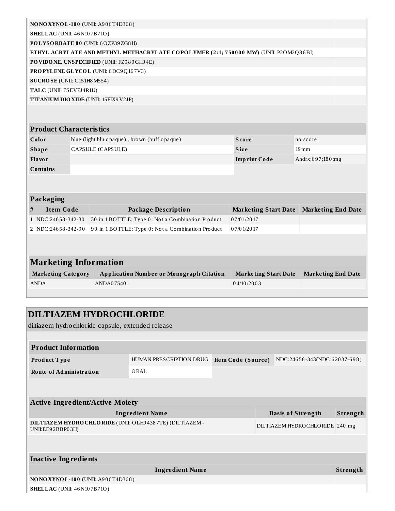|                                    |  | NONOXYNOL-100 (UNII: A906T4D368)                                                     |                             |                           |  |
|------------------------------------|--|--------------------------------------------------------------------------------------|-----------------------------|---------------------------|--|
| <b>SHELLAC</b> (UNII: 46 N107B71O) |  |                                                                                      |                             |                           |  |
|                                    |  | POLYSORBATE 80 (UNII: 6OZP39ZG8H)                                                    |                             |                           |  |
|                                    |  | ETHYL ACRYLATE AND METHYL METHACRYLATE COPOLYMER (2:1; 750000 MW) (UNII: P2OM2Q86BI) |                             |                           |  |
|                                    |  | PO VIDONE, UNSPECIFIED (UNII: FZ989GH94E)                                            |                             |                           |  |
|                                    |  | PROPYLENE GLYCOL (UNII: 6DC9Q167V3)                                                  |                             |                           |  |
| SUCROSE (UNII: C151H8 M554)        |  |                                                                                      |                             |                           |  |
| TALC (UNII: 7SEV7J4R1U)            |  |                                                                                      |                             |                           |  |
|                                    |  | TITANIUM DIO XIDE (UNII: 15FIX9 V2JP)                                                |                             |                           |  |
|                                    |  |                                                                                      |                             |                           |  |
| <b>Product Characteristics</b>     |  |                                                                                      |                             |                           |  |
| Color                              |  | blue (light blu opaque), brown (buff opaque)                                         | Score                       | no score                  |  |
| <b>Shape</b>                       |  | CAPSULE (CAPSULE)                                                                    | <b>Size</b>                 | $19 \,\mathrm{mm}$        |  |
| Flavor                             |  |                                                                                      | <b>Imprint Code</b>         | Andrx;697;180;mg          |  |
| <b>Contains</b>                    |  |                                                                                      |                             |                           |  |
|                                    |  |                                                                                      |                             |                           |  |
|                                    |  |                                                                                      |                             |                           |  |
| Packaging                          |  |                                                                                      |                             |                           |  |
| <b>Item Code</b><br>#              |  | <b>Package Description</b>                                                           | <b>Marketing Start Date</b> | <b>Marketing End Date</b> |  |
| 1 NDC:24658-342-30                 |  | 30 in 1 BOTTLE; Type 0: Not a Combination Product                                    | 07/01/2017                  |                           |  |
| 2 NDC:24658-342-90                 |  | 90 in 1 BOTTLE; Type 0: Not a Combination Product                                    | 07/01/2017                  |                           |  |
|                                    |  |                                                                                      |                             |                           |  |
|                                    |  |                                                                                      |                             |                           |  |
| <b>Marketing Information</b>       |  |                                                                                      |                             |                           |  |
| <b>Marketing Category</b>          |  | <b>Application Number or Monograph Citation</b>                                      | <b>Marketing Start Date</b> | <b>Marketing End Date</b> |  |
| <b>ANDA</b>                        |  | ANDA075401                                                                           | 04/10/2003                  |                           |  |
|                                    |  |                                                                                      |                             |                           |  |

| <b>DILTIAZEM HYDROCHLORIDE</b><br>diltiazem hydrochloride capsule, extended release |                         |                           |  |                                |          |  |
|-------------------------------------------------------------------------------------|-------------------------|---------------------------|--|--------------------------------|----------|--|
|                                                                                     |                         |                           |  |                                |          |  |
| <b>Product Information</b>                                                          |                         |                           |  |                                |          |  |
| Product Type                                                                        | HUMAN PRESCRIPTION DRUG | <b>Item Code (Source)</b> |  | NDC:24658-343(NDC:62037-698)   |          |  |
| <b>Route of Administration</b>                                                      | ORAL                    |                           |  |                                |          |  |
|                                                                                     |                         |                           |  |                                |          |  |
| <b>Active Ingredient/Active Moiety</b>                                              |                         |                           |  |                                |          |  |
|                                                                                     | <b>Ingredient Name</b>  |                           |  | <b>Basis of Strength</b>       | Strength |  |
| DILTIAZEM HYDRO CHLORIDE (UNII: OLH94387TE) (DILTIAZEM -<br>UNII:EE92BBP03H)        |                         |                           |  | DILTIAZEM HYDROCHLORIDE 240 mg |          |  |
|                                                                                     |                         |                           |  |                                |          |  |
| <b>Inactive Ingredients</b>                                                         |                         |                           |  |                                |          |  |
|                                                                                     | <b>Ingredient Name</b>  |                           |  |                                | Strength |  |
| <b>NONOXYNOL-100 (UNII: A906T4D368)</b>                                             |                         |                           |  |                                |          |  |
| <b>SHELLAC</b> (UNII: 46 N10 7 B 7 10)                                              |                         |                           |  |                                |          |  |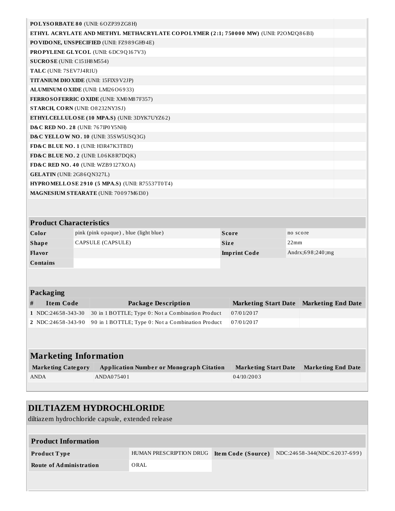| POLYSORBATE 80 (UNII: 6OZP39ZG8H)                                                    |  |
|--------------------------------------------------------------------------------------|--|
| ETHYL ACRYLATE AND METHYL METHACRYLATE COPOLYMER (2:1; 750000 MW) (UNII: P2OM2Q86BI) |  |
| PO VIDONE, UNSPECIFIED (UNII: FZ989GH94E)                                            |  |
| <b>PROPYLENE GLYCOL (UNII: 6DC9Q167V3)</b>                                           |  |
| SUCROSE (UNII: C151H8 M554)                                                          |  |
| TALC (UNII: 7SEV7J4R1U)                                                              |  |
| <b>TITANIUM DIO XIDE (UNII: 15FIX9 V2JP)</b>                                         |  |
| ALUMINUM OXIDE (UNII: LMI2606933)                                                    |  |
| FERROSOFERRIC OXIDE (UNII: XM0 M8 7F357)                                             |  |
| STARCH, CORN (UNII: O8232NY3SJ)                                                      |  |
| ETHYLCELLULOSE (10 MPA.S) (UNII: 3DYK7UYZ62)                                         |  |
| <b>D&amp;C RED NO. 28 (UNII: 767IP0 Y5NH)</b>                                        |  |
| D&C YELLOW NO. 10 (UNII: 35SW5USQ3G)                                                 |  |
| FD&C BLUE NO. 1 (UNII: H3R47K3TBD)                                                   |  |
| FD&C BLUE NO. 2 (UNII: L06K8R7DQK)                                                   |  |
| FD&C RED NO. 40 (UNII: WZB9127XOA)                                                   |  |
| GELATIN (UNII: 2G86QN327L)                                                           |  |
| <b>HYPROMELLOSE 2910 (5 MPA.S) (UNII: R75537T0T4)</b>                                |  |
| MAGNESIUM STEARATE (UNII: 70097M6I30)                                                |  |
|                                                                                      |  |

| <b>Product Characteristics</b> |                                       |                     |                     |  |  |
|--------------------------------|---------------------------------------|---------------------|---------------------|--|--|
| Color                          | pink (pink opaque), blue (light blue) | <b>Score</b>        | no score            |  |  |
| <b>Shape</b>                   | CAPSULE (CAPSULE)                     | <b>Size</b>         | 22mm                |  |  |
| Flavor                         |                                       | <b>Imprint Code</b> | Andrx; $698;240;mg$ |  |  |
| Contains                       |                                       |                     |                     |  |  |

|   | Packaging          |                                                   |                                         |  |  |  |  |
|---|--------------------|---------------------------------------------------|-----------------------------------------|--|--|--|--|
| # | Item Code          | Package Description                               | Marketing Start Date Marketing End Date |  |  |  |  |
|   | 1 NDC:24658-343-30 | 30 in 1 BOTTLE; Type 0: Not a Combination Product | 07/01/2017                              |  |  |  |  |
|   | 2 NDC:24658-343-90 | 90 in 1 BOTTLE; Type 0: Not a Combination Product | 07/01/2017                              |  |  |  |  |
|   |                    |                                                   |                                         |  |  |  |  |

| Marketing Information     |                                                 |                      |                           |  |  |  |
|---------------------------|-------------------------------------------------|----------------------|---------------------------|--|--|--|
| <b>Marketing Category</b> | <b>Application Number or Monograph Citation</b> | Marketing Start Date | <b>Marketing End Date</b> |  |  |  |
| <b>ANDA</b>               | ANDA075401                                      | 04/10/2003           |                           |  |  |  |
|                           |                                                 |                      |                           |  |  |  |

# **DILTIAZEM HYDROCHLORIDE**

diltiazem hydrochloride capsule, extended release

| <b>Product Information</b> |                         |                    |                              |
|----------------------------|-------------------------|--------------------|------------------------------|
| <b>Product Type</b>        | HUMAN PRESCRIPTION DRUG | Item Code (Source) | NDC:24658-344(NDC:62037-699) |
| Route of Administration    | ORAL                    |                    |                              |
|                            |                         |                    |                              |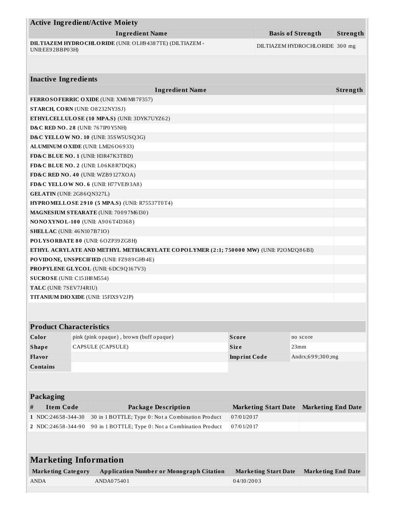|                                                                                      |  | <b>Active Ingredient/Active Moiety</b>                   |                     |                             |                                |          |
|--------------------------------------------------------------------------------------|--|----------------------------------------------------------|---------------------|-----------------------------|--------------------------------|----------|
|                                                                                      |  | <b>Ingredient Name</b>                                   |                     |                             | <b>Basis of Strength</b>       | Strength |
| UNII:EE92BBP03H)                                                                     |  | DILTIAZEM HYDRO CHLORIDE (UNII: OLH94387TE) (DILTIAZEM - |                     |                             | DILTIAZEM HYDROCHLORIDE 300 mg |          |
|                                                                                      |  |                                                          |                     |                             |                                |          |
| <b>Inactive Ingredients</b>                                                          |  |                                                          |                     |                             |                                |          |
|                                                                                      |  | <b>Ingredient Name</b>                                   |                     |                             |                                | Strength |
|                                                                                      |  | <b>FERROSOFERRIC OXIDE (UNII: XM0 M8 7F357)</b>          |                     |                             |                                |          |
| <b>STARCH, CORN (UNII: O8232NY3SJ)</b>                                               |  |                                                          |                     |                             |                                |          |
|                                                                                      |  | ETHYLCELLULOSE (10 MPA.S) (UNII: 3DYK7UYZ62)             |                     |                             |                                |          |
| <b>D&amp;C RED NO. 28 (UNII: 767IP0 Y5NH)</b>                                        |  |                                                          |                     |                             |                                |          |
|                                                                                      |  | D&C YELLOW NO. 10 (UNII: 35SW5USQ3G)                     |                     |                             |                                |          |
|                                                                                      |  | ALUMINUM OXIDE (UNII: LMI26O6933)                        |                     |                             |                                |          |
|                                                                                      |  | FD&C BLUE NO. 1 (UNII: H3R47K3TBD)                       |                     |                             |                                |          |
|                                                                                      |  | FD&C BLUE NO. 2 (UNII: L06K8R7DQK)                       |                     |                             |                                |          |
|                                                                                      |  | FD&C RED NO. 40 (UNII: WZB9127XOA)                       |                     |                             |                                |          |
|                                                                                      |  | FD&C YELLOW NO. 6 (UNII: H77VEI93A8)                     |                     |                             |                                |          |
| <b>GELATIN</b> (UNII: 2G86QN327L)                                                    |  |                                                          |                     |                             |                                |          |
|                                                                                      |  | HYPROMELLOSE 2910 (5 MPA.S) (UNII: R75537T0T4)           |                     |                             |                                |          |
|                                                                                      |  | MAGNESIUM STEARATE (UNII: 70097M6I30)                    |                     |                             |                                |          |
|                                                                                      |  | <b>NONOXYNOL-100 (UNII: A906T4D368)</b>                  |                     |                             |                                |          |
| <b>SHELLAC</b> (UNII: 46 N107B71O)                                                   |  |                                                          |                     |                             |                                |          |
|                                                                                      |  | POLYSORBATE 80 (UNII: 6OZP39ZG8H)                        |                     |                             |                                |          |
| ETHYL ACRYLATE AND METHYL METHACRYLATE COPOLYMER (2:1; 750000 MW) (UNII: P2OM2Q86BI) |  |                                                          |                     |                             |                                |          |
| PO VIDONE, UNSPECIFIED (UNII: FZ989GH94E)                                            |  |                                                          |                     |                             |                                |          |
| <b>PROPYLENE GLYCOL</b> (UNII: 6DC9Q167V3)                                           |  |                                                          |                     |                             |                                |          |
| SUCROSE (UNII: C151H8M554)                                                           |  |                                                          |                     |                             |                                |          |
| TALC (UNII: 7SEV7J4R1U)                                                              |  |                                                          |                     |                             |                                |          |
| TITANIUM DIO XIDE (UNII: 15FIX9V2JP)                                                 |  |                                                          |                     |                             |                                |          |
|                                                                                      |  |                                                          |                     |                             |                                |          |
| <b>Product Characteristics</b>                                                       |  |                                                          |                     |                             |                                |          |
| Color                                                                                |  | pink (pink opaque), brown (buff opaque)                  | Score               |                             | no score                       |          |
| <b>Shape</b>                                                                         |  | CAPSULE (CAPSULE)                                        | <b>Size</b>         |                             | 23mm                           |          |
| Flavor                                                                               |  |                                                          | <b>Imprint Code</b> |                             | Andrx;699;300;mg               |          |
| <b>Contains</b>                                                                      |  |                                                          |                     |                             |                                |          |
|                                                                                      |  |                                                          |                     |                             |                                |          |
| Packaging                                                                            |  |                                                          |                     |                             |                                |          |
| <b>Item Code</b><br>#                                                                |  | <b>Package Description</b>                               |                     | <b>Marketing Start Date</b> | <b>Marketing End Date</b>      |          |
| 1 NDC:24658-344-30                                                                   |  | 30 in 1 BOTTLE; Type 0: Not a Combination Product        | 07/01/2017          |                             |                                |          |
| 2 NDC:24658-344-90                                                                   |  | 90 in 1 BOTTLE; Type 0: Not a Combination Product        | 07/01/2017          |                             |                                |          |
|                                                                                      |  |                                                          |                     |                             |                                |          |
| <b>Marketing Information</b>                                                         |  |                                                          |                     |                             |                                |          |
| <b>Marketing Category</b>                                                            |  | <b>Application Number or Monograph Citation</b>          |                     | <b>Marketing Start Date</b> | <b>Marketing End Date</b>      |          |
| ANDA                                                                                 |  | ANDA075401                                               | 04/10/2003          |                             |                                |          |
|                                                                                      |  |                                                          |                     |                             |                                |          |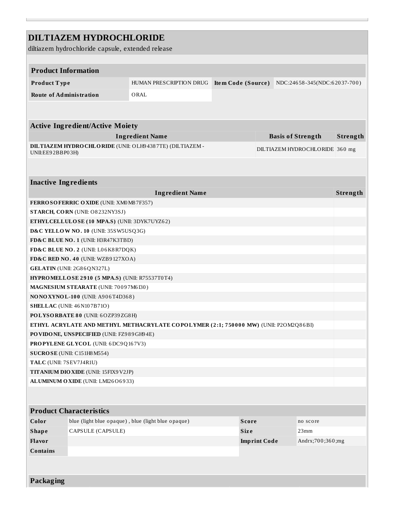|                                                                                      | <b>DILTIAZEM HYDROCHLORIDE</b>                    |                                                          |                    |                     |                                |          |
|--------------------------------------------------------------------------------------|---------------------------------------------------|----------------------------------------------------------|--------------------|---------------------|--------------------------------|----------|
|                                                                                      | diltiazem hydrochloride capsule, extended release |                                                          |                    |                     |                                |          |
|                                                                                      |                                                   |                                                          |                    |                     |                                |          |
| <b>Product Information</b>                                                           |                                                   |                                                          |                    |                     |                                |          |
| Product Type                                                                         |                                                   | HUMAN PRESCRIPTION DRUG                                  | Item Code (Source) |                     | NDC:24658-345(NDC:62037-700)   |          |
| <b>Route of Administration</b>                                                       |                                                   | ORAL                                                     |                    |                     |                                |          |
|                                                                                      |                                                   |                                                          |                    |                     |                                |          |
|                                                                                      |                                                   |                                                          |                    |                     |                                |          |
|                                                                                      | <b>Active Ingredient/Active Moiety</b>            |                                                          |                    |                     |                                |          |
|                                                                                      |                                                   | <b>Ingredient Name</b>                                   |                    |                     | <b>Basis of Strength</b>       | Strength |
|                                                                                      |                                                   | DILTIAZEM HYDRO CHLORIDE (UNII: OLH94387TE) (DILTIAZEM - |                    |                     |                                |          |
| UNII:EE92BBP03H)                                                                     |                                                   |                                                          |                    |                     | DILTIAZEM HYDROCHLORIDE 360 mg |          |
|                                                                                      |                                                   |                                                          |                    |                     |                                |          |
|                                                                                      |                                                   |                                                          |                    |                     |                                |          |
| <b>Inactive Ingredients</b>                                                          |                                                   |                                                          |                    |                     |                                |          |
|                                                                                      |                                                   | <b>Ingredient Name</b>                                   |                    |                     |                                | Strength |
|                                                                                      | <b>FERROSOFERRIC OXIDE (UNII: XM0M87F357)</b>     |                                                          |                    |                     |                                |          |
|                                                                                      | STARCH, CORN (UNII: O8232NY3SJ)                   |                                                          |                    |                     |                                |          |
| ETHYLCELLULOSE (10 MPA.S) (UNII: 3DYK7UYZ62)                                         |                                                   |                                                          |                    |                     |                                |          |
| D&C YELLOW NO. 10 (UNII: 35SW5USQ3G)                                                 |                                                   |                                                          |                    |                     |                                |          |
| FD&C BLUE NO. 1 (UNII: H3R47K3TBD)                                                   |                                                   |                                                          |                    |                     |                                |          |
| FD&C BLUE NO. 2 (UNII: L06K8R7DQK)                                                   |                                                   |                                                          |                    |                     |                                |          |
| FD&C RED NO. 40 (UNII: WZB9127XOA)                                                   |                                                   |                                                          |                    |                     |                                |          |
| GELATIN (UNII: 2G86QN327L)                                                           |                                                   |                                                          |                    |                     |                                |          |
| <b>HYPROMELLOSE 2910 (5 MPA.S) (UNII: R75537T0T4)</b>                                |                                                   |                                                          |                    |                     |                                |          |
| MAGNESIUM STEARATE (UNII: 70097M6I30)<br>NONOXYNOL-100 (UNII: A906T4D368)            |                                                   |                                                          |                    |                     |                                |          |
|                                                                                      |                                                   |                                                          |                    |                     |                                |          |
| <b>SHELLAC</b> (UNII: 46 N107B71O)<br>POLYSORBATE 80 (UNII: 6OZP39ZG8H)              |                                                   |                                                          |                    |                     |                                |          |
| ETHYL ACRYLATE AND METHYL METHACRYLATE COPOLYMER (2:1; 750000 MW) (UNII: P2OM2Q86BI) |                                                   |                                                          |                    |                     |                                |          |
|                                                                                      | PO VIDONE, UNSPECIFIED (UNII: FZ989GH94E)         |                                                          |                    |                     |                                |          |
|                                                                                      | PROPYLENE GLYCOL (UNII: 6DC9Q167V3)               |                                                          |                    |                     |                                |          |
| SUCROSE (UNII: C151H8M554)                                                           |                                                   |                                                          |                    |                     |                                |          |
| TALC (UNII: 7SEV7J4R1U)                                                              |                                                   |                                                          |                    |                     |                                |          |
| <b>TITANIUM DIO XIDE (UNII: 15FIX9 V2JP)</b>                                         |                                                   |                                                          |                    |                     |                                |          |
|                                                                                      | ALUMINUM OXIDE (UNII: LMI26O6933)                 |                                                          |                    |                     |                                |          |
|                                                                                      |                                                   |                                                          |                    |                     |                                |          |
|                                                                                      |                                                   |                                                          |                    |                     |                                |          |
|                                                                                      | <b>Product Characteristics</b>                    |                                                          |                    |                     |                                |          |
| Color                                                                                |                                                   | blue (light blue opaque), blue (light blue opaque)       | <b>Score</b>       |                     | no score                       |          |
| <b>Shape</b>                                                                         | CAPSULE (CAPSULE)                                 |                                                          | <b>Size</b>        |                     | 23mm                           |          |
| Flavor                                                                               |                                                   |                                                          |                    | <b>Imprint Code</b> | Andrx;700;360;mg               |          |
| <b>Contains</b>                                                                      |                                                   |                                                          |                    |                     |                                |          |
|                                                                                      |                                                   |                                                          |                    |                     |                                |          |
|                                                                                      |                                                   |                                                          |                    |                     |                                |          |
| Packaging                                                                            |                                                   |                                                          |                    |                     |                                |          |